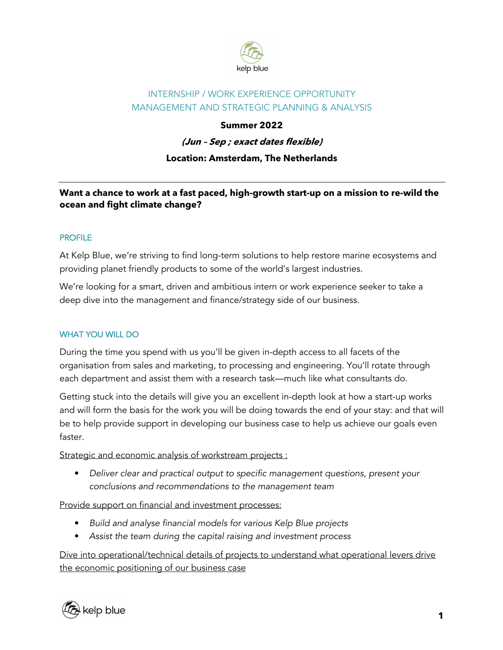

# INTERNSHIP / WORK EXPERIENCE OPPORTUNITY MANAGEMENT AND STRATEGIC PLANNING & ANALYSIS

# **Summer 2022**

**(Jun – Sep ; exact dates flexible)**

## **Location: Amsterdam, The Netherlands**

# **Want a chance to work at a fast paced, high-growth start-up on a mission to re-wild the ocean and fight climate change?**

#### PROFILE

At Kelp Blue, we're striving to find long-term solutions to help restore marine ecosystems and providing planet friendly products to some of the world's largest industries.

We're looking for a smart, driven and ambitious intern or work experience seeker to take a deep dive into the management and finance/strategy side of our business.

## WHAT YOU WILL DO

During the time you spend with us you'll be given in-depth access to all facets of the organisation from sales and marketing, to processing and engineering. You'll rotate through each department and assist them with a research task—much like what consultants do.

Getting stuck into the details will give you an excellent in-depth look at how a start-up works and will form the basis for the work you will be doing towards the end of your stay: and that will be to help provide support in developing our business case to help us achieve our goals even faster.

Strategic and economic analysis of workstream projects :

**•** *Deliver clear and practical output to specific management questions, present your conclusions and recommendations to the management team*

Provide support on financial and investment processes:

- **•** *Build and analyse financial models for various Kelp Blue projects*
- **•** *Assist the team during the capital raising and investment process*

Dive into operational/technical details of projects to understand what operational levers drive the economic positioning of our business case